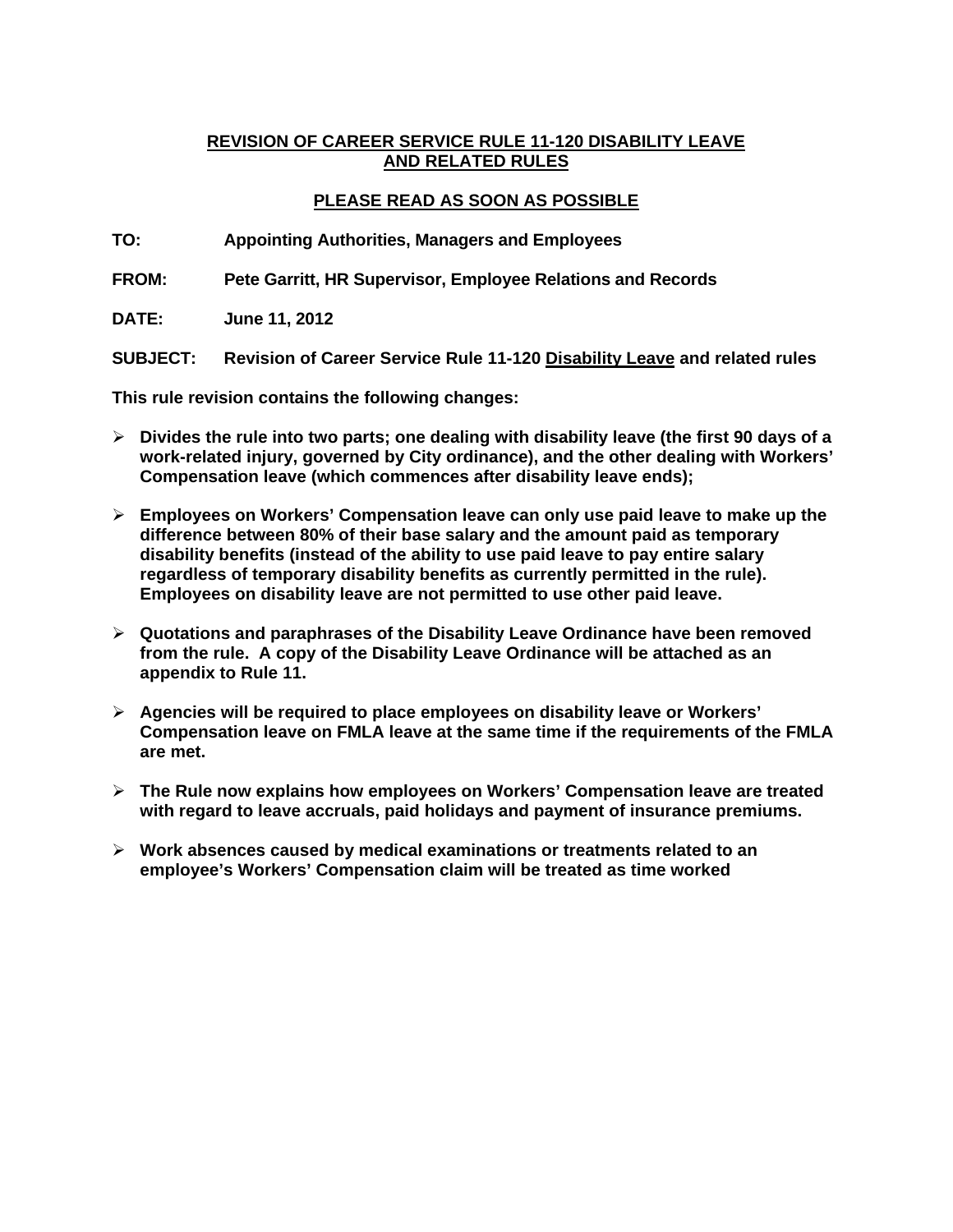## **REVISION OF CAREER SERVICE RULE 11-120 DISABILITY LEAVE AND RELATED RULES**

# **PLEASE READ AS SOON AS POSSIBLE**

**TO: Appointing Authorities, Managers and Employees** 

**FROM: Pete Garritt, HR Supervisor, Employee Relations and Records** 

**DATE: June 11, 2012** 

**SUBJECT: Revision of Career Service Rule 11-120 Disability Leave and related rules** 

**This rule revision contains the following changes:** 

- **Divides the rule into two parts; one dealing with disability leave (the first 90 days of a work-related injury, governed by City ordinance), and the other dealing with Workers' Compensation leave (which commences after disability leave ends);**
- **Employees on Workers' Compensation leave can only use paid leave to make up the difference between 80% of their base salary and the amount paid as temporary disability benefits (instead of the ability to use paid leave to pay entire salary regardless of temporary disability benefits as currently permitted in the rule). Employees on disability leave are not permitted to use other paid leave.**
- **Quotations and paraphrases of the Disability Leave Ordinance have been removed from the rule. A copy of the Disability Leave Ordinance will be attached as an appendix to Rule 11.**
- **Agencies will be required to place employees on disability leave or Workers' Compensation leave on FMLA leave at the same time if the requirements of the FMLA are met.**
- **The Rule now explains how employees on Workers' Compensation leave are treated with regard to leave accruals, paid holidays and payment of insurance premiums.**
- **Work absences caused by medical examinations or treatments related to an employee's Workers' Compensation claim will be treated as time worked**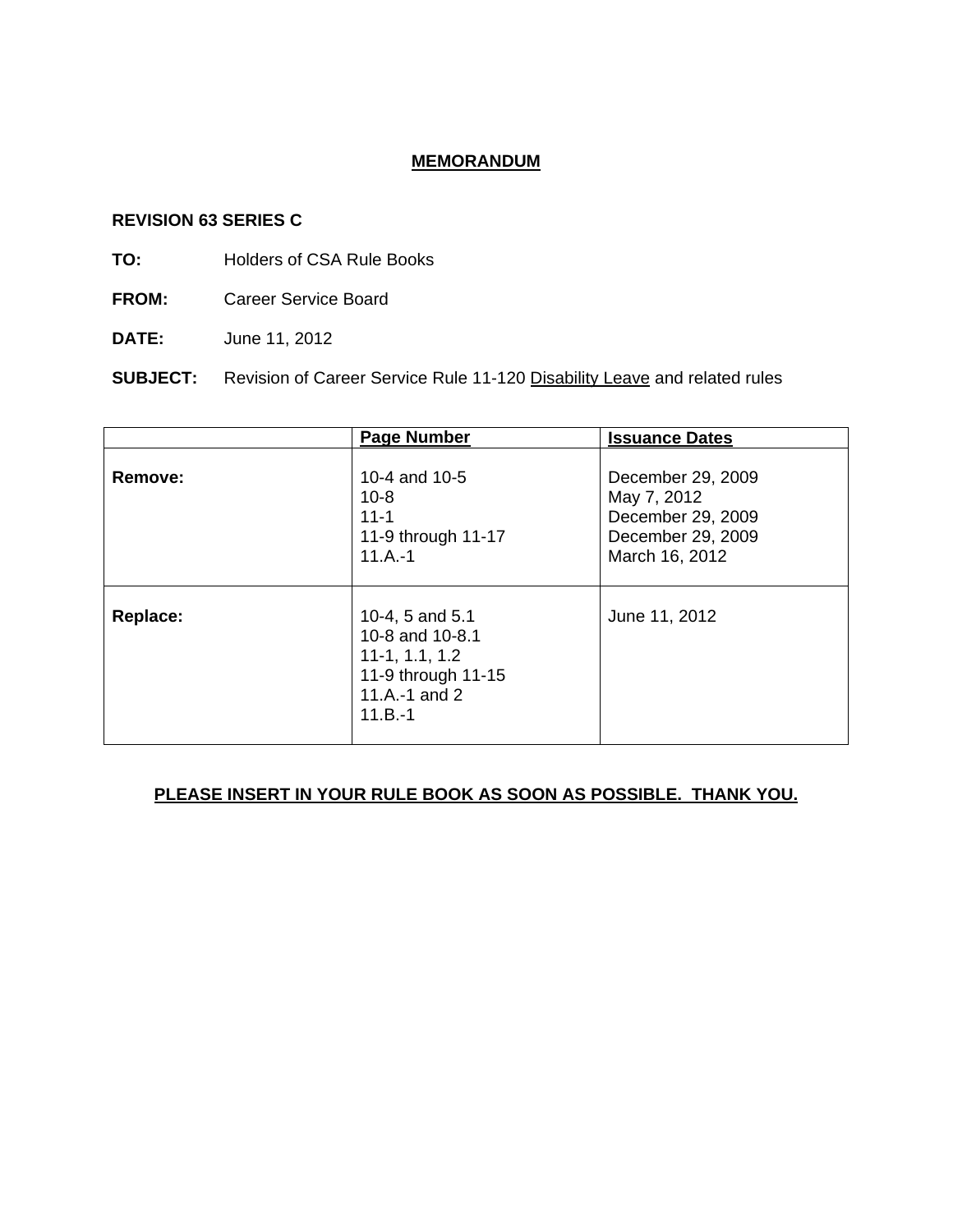# **MEMORANDUM**

### **REVISION 63 SERIES C**

- **TO:** Holders of CSA Rule Books
- **FROM:** Career Service Board
- **DATE:** June 11, 2012

**SUBJECT:** Revision of Career Service Rule 11-120 Disability Leave and related rules

|          | <b>Page Number</b>                                                                                         | <b>Issuance Dates</b>                                                                        |  |  |
|----------|------------------------------------------------------------------------------------------------------------|----------------------------------------------------------------------------------------------|--|--|
| Remove:  | 10-4 and 10-5<br>$10 - 8$<br>$11 - 1$<br>11-9 through 11-17<br>$11.A.-1$                                   | December 29, 2009<br>May 7, 2012<br>December 29, 2009<br>December 29, 2009<br>March 16, 2012 |  |  |
| Replace: | 10-4, 5 and 5.1<br>10-8 and 10-8.1<br>$11-1, 1.1, 1.2$<br>11-9 through 11-15<br>11.A.-1 and 2<br>$11.B.-1$ | June 11, 2012                                                                                |  |  |

# **PLEASE INSERT IN YOUR RULE BOOK AS SOON AS POSSIBLE. THANK YOU.**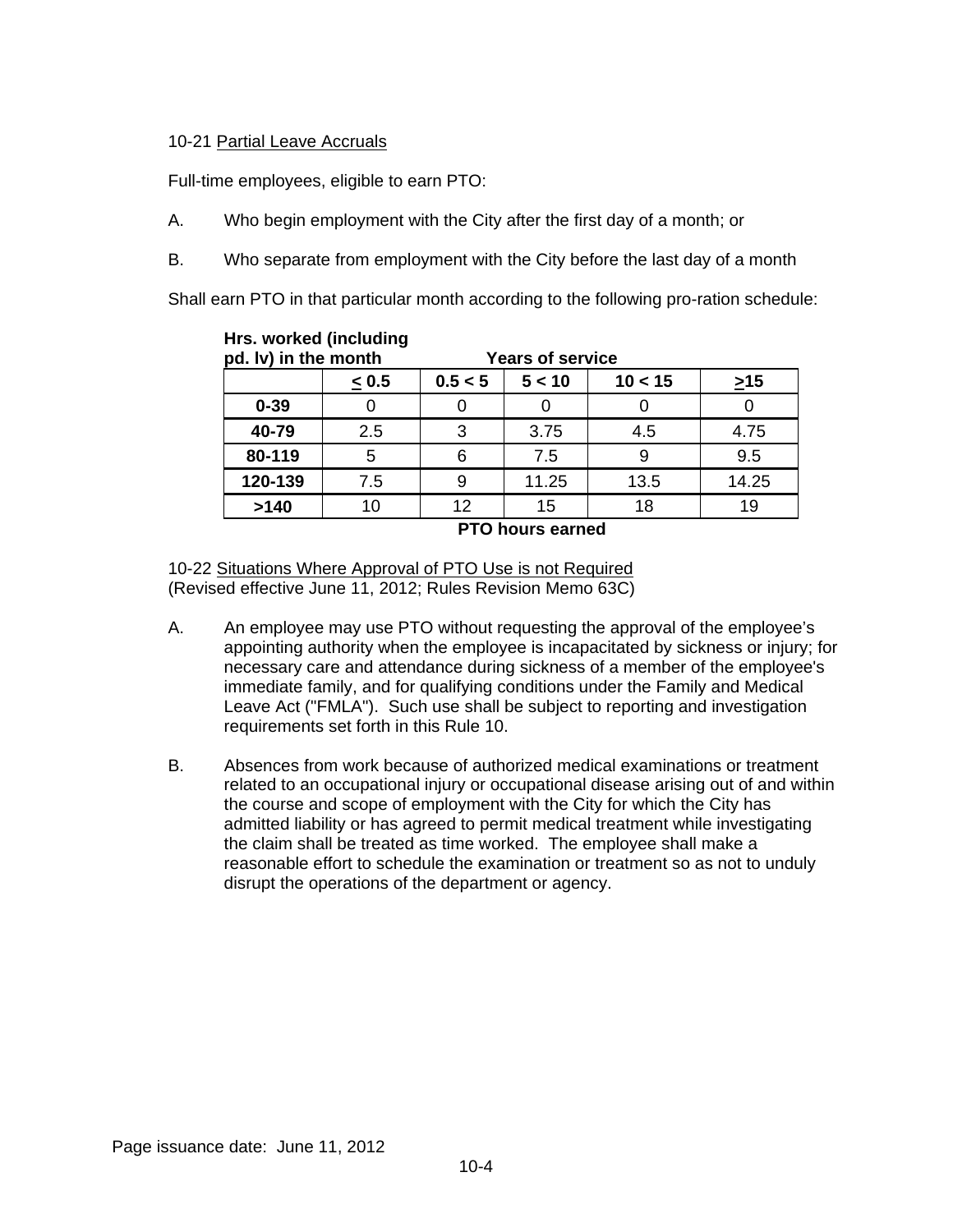## 10-21 Partial Leave Accruals

Full-time employees, eligible to earn PTO:

- A. Who begin employment with the City after the first day of a month; or
- B. Who separate from employment with the City before the last day of a month

Shall earn PTO in that particular month according to the following pro-ration schedule:

| pd. Iv) in the month |       | <b>Years of service</b> |        |         |           |
|----------------------|-------|-------------------------|--------|---------|-----------|
|                      | < 0.5 | 0.5 < 5                 | 5 < 10 | 10 < 15 | $\geq$ 15 |
| $0 - 39$             |       |                         |        |         |           |
| 40-79                | 2.5   | 3                       | 3.75   | 4.5     | 4.75      |
| 80-119               | 5     | 6                       | 7.5    |         | 9.5       |
| 120-139              | 7.5   | 9                       | 11.25  | 13.5    | 14.25     |
| >140                 |       | 12                      | 15     | 18      | 19        |

**Hrs. worked (including** 

**PTO hours earned** 

10-22 Situations Where Approval of PTO Use is not Required (Revised effective June 11, 2012; Rules Revision Memo 63C)

- A. An employee may use PTO without requesting the approval of the employee's appointing authority when the employee is incapacitated by sickness or injury; for necessary care and attendance during sickness of a member of the employee's immediate family, and for qualifying conditions under the Family and Medical Leave Act ("FMLA"). Such use shall be subject to reporting and investigation requirements set forth in this Rule 10.
- B. Absences from work because of authorized medical examinations or treatment related to an occupational injury or occupational disease arising out of and within the course and scope of employment with the City for which the City has admitted liability or has agreed to permit medical treatment while investigating the claim shall be treated as time worked. The employee shall make a reasonable effort to schedule the examination or treatment so as not to unduly disrupt the operations of the department or agency.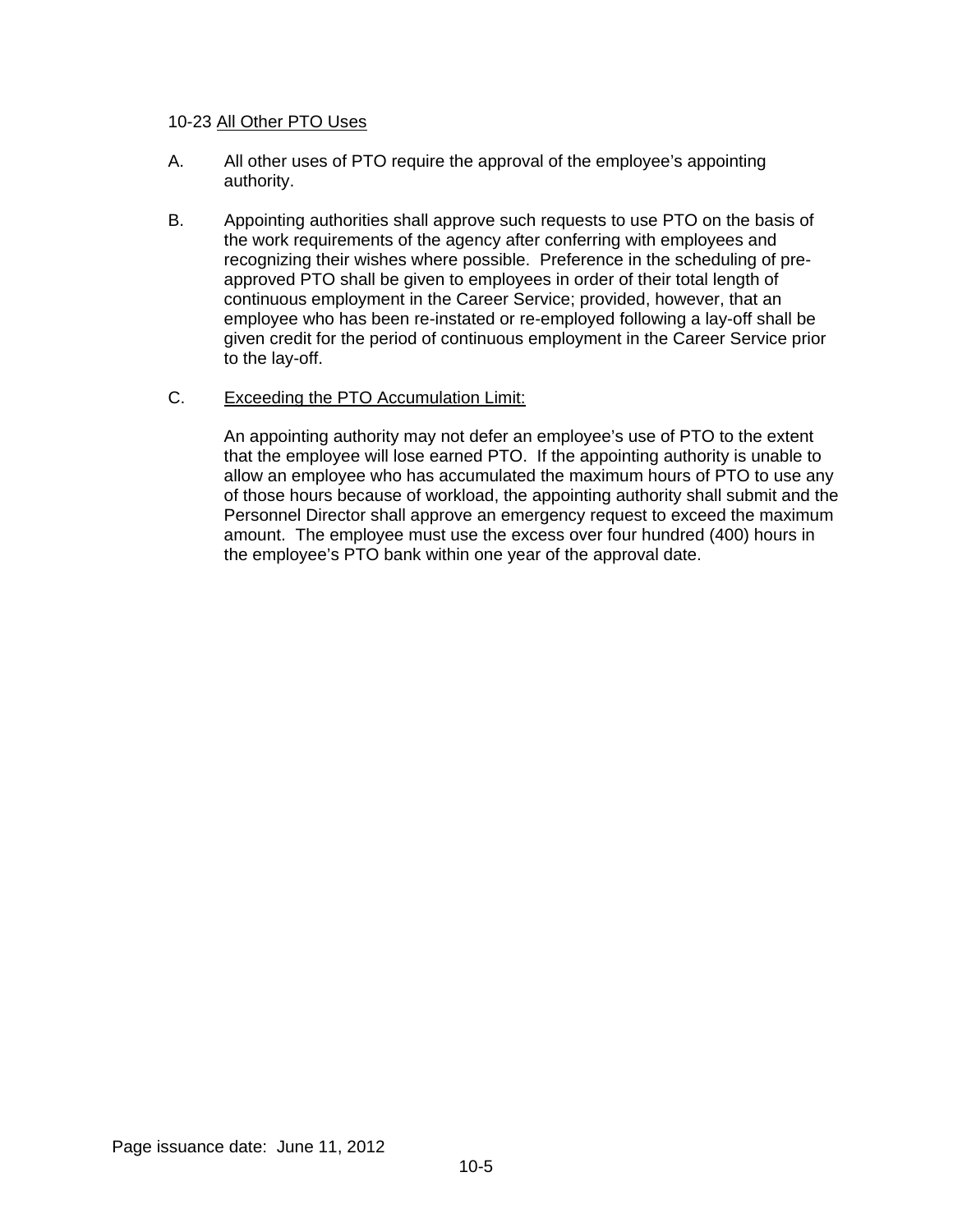### 10-23 All Other PTO Uses

- A. All other uses of PTO require the approval of the employee's appointing authority.
- B. Appointing authorities shall approve such requests to use PTO on the basis of the work requirements of the agency after conferring with employees and recognizing their wishes where possible. Preference in the scheduling of preapproved PTO shall be given to employees in order of their total length of continuous employment in the Career Service; provided, however, that an employee who has been re-instated or re-employed following a lay-off shall be given credit for the period of continuous employment in the Career Service prior to the lay-off.
- C. Exceeding the PTO Accumulation Limit:

An appointing authority may not defer an employee's use of PTO to the extent that the employee will lose earned PTO. If the appointing authority is unable to allow an employee who has accumulated the maximum hours of PTO to use any of those hours because of workload, the appointing authority shall submit and the Personnel Director shall approve an emergency request to exceed the maximum amount. The employee must use the excess over four hundred (400) hours in the employee's PTO bank within one year of the approval date.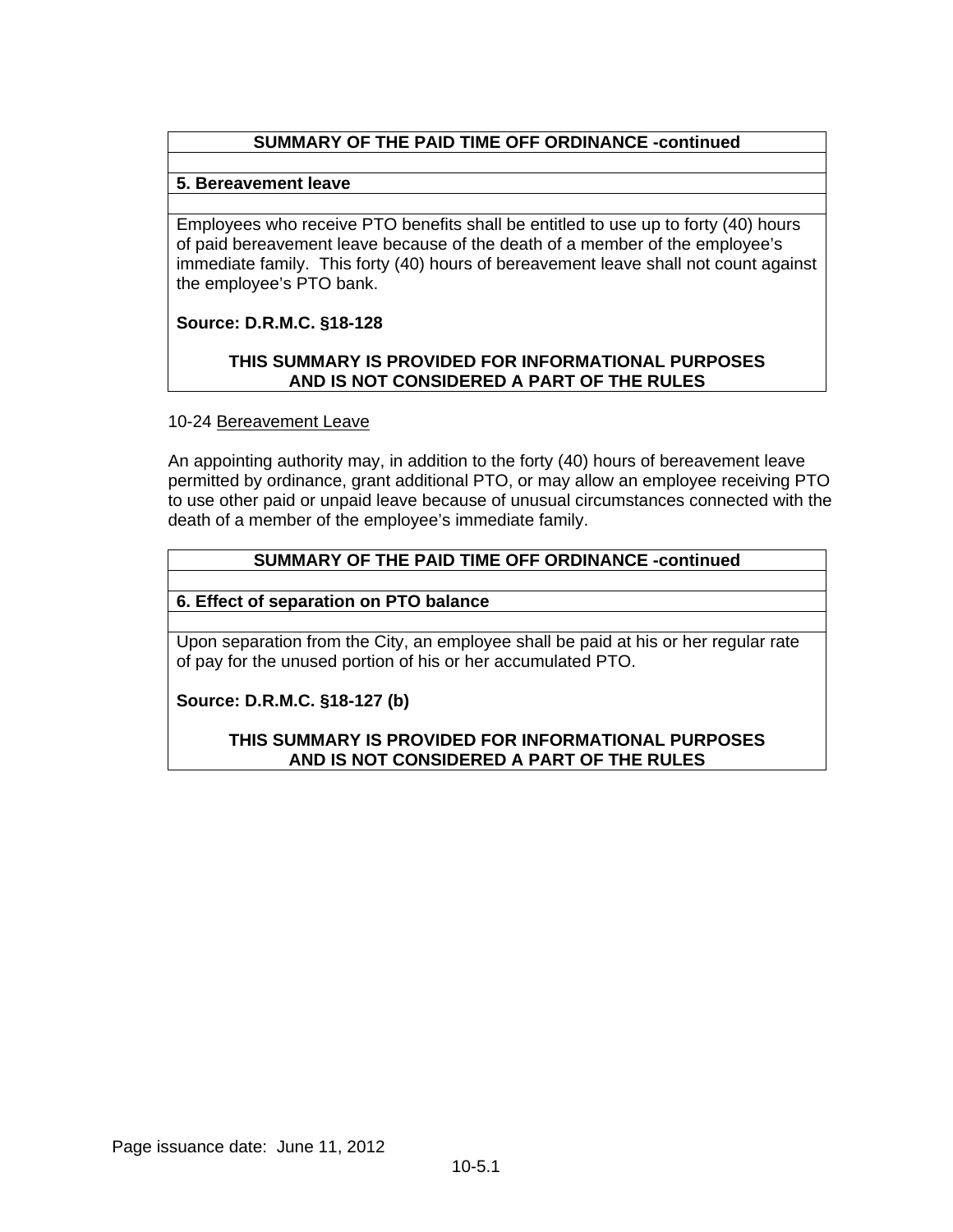# **SUMMARY OF THE PAID TIME OFF ORDINANCE -continued**

## **5. Bereavement leave**

Employees who receive PTO benefits shall be entitled to use up to forty (40) hours of paid bereavement leave because of the death of a member of the employee's immediate family. This forty (40) hours of bereavement leave shall not count against the employee's PTO bank.

# **Source: D.R.M.C. §18-128**

## **THIS SUMMARY IS PROVIDED FOR INFORMATIONAL PURPOSES AND IS NOT CONSIDERED A PART OF THE RULES**

## 10-24 Bereavement Leave

An appointing authority may, in addition to the forty (40) hours of bereavement leave permitted by ordinance, grant additional PTO, or may allow an employee receiving PTO to use other paid or unpaid leave because of unusual circumstances connected with the death of a member of the employee's immediate family.

# **SUMMARY OF THE PAID TIME OFF ORDINANCE -continued**

## **6. Effect of separation on PTO balance**

Upon separation from the City, an employee shall be paid at his or her regular rate of pay for the unused portion of his or her accumulated PTO.

# **Source: D.R.M.C. §18-127 (b)**

## **THIS SUMMARY IS PROVIDED FOR INFORMATIONAL PURPOSES AND IS NOT CONSIDERED A PART OF THE RULES**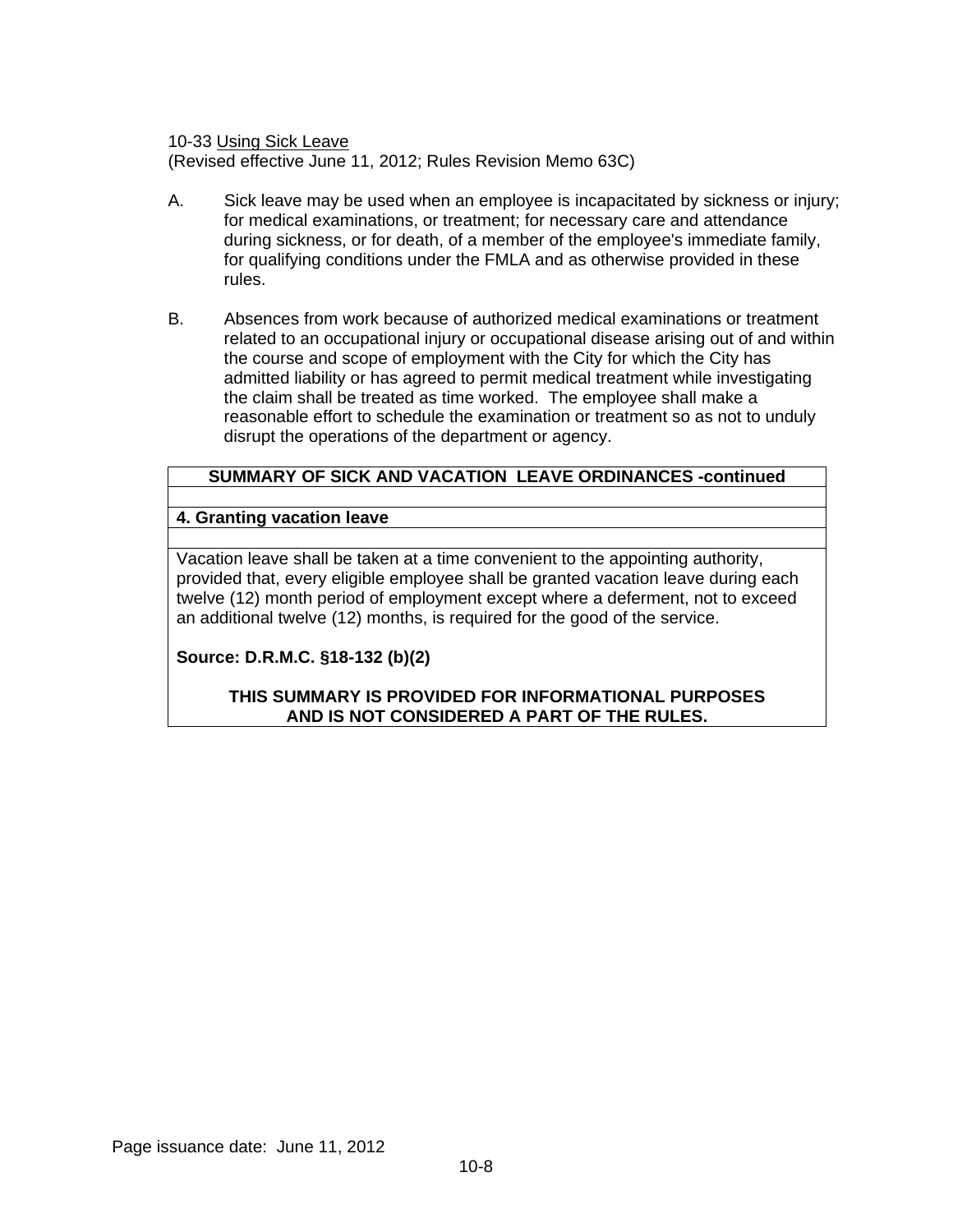10-33 Using Sick Leave

(Revised effective June 11, 2012; Rules Revision Memo 63C)

- A. Sick leave may be used when an employee is incapacitated by sickness or injury; for medical examinations, or treatment; for necessary care and attendance during sickness, or for death, of a member of the employee's immediate family, for qualifying conditions under the FMLA and as otherwise provided in these rules.
- B. Absences from work because of authorized medical examinations or treatment related to an occupational injury or occupational disease arising out of and within the course and scope of employment with the City for which the City has admitted liability or has agreed to permit medical treatment while investigating the claim shall be treated as time worked. The employee shall make a reasonable effort to schedule the examination or treatment so as not to unduly disrupt the operations of the department or agency.

## **SUMMARY OF SICK AND VACATION LEAVE ORDINANCES -continued**

## **4. Granting vacation leave**

Vacation leave shall be taken at a time convenient to the appointing authority, provided that, every eligible employee shall be granted vacation leave during each twelve (12) month period of employment except where a deferment, not to exceed an additional twelve (12) months, is required for the good of the service.

## **Source: D.R.M.C. §18-132 (b)(2)**

### **THIS SUMMARY IS PROVIDED FOR INFORMATIONAL PURPOSES AND IS NOT CONSIDERED A PART OF THE RULES.**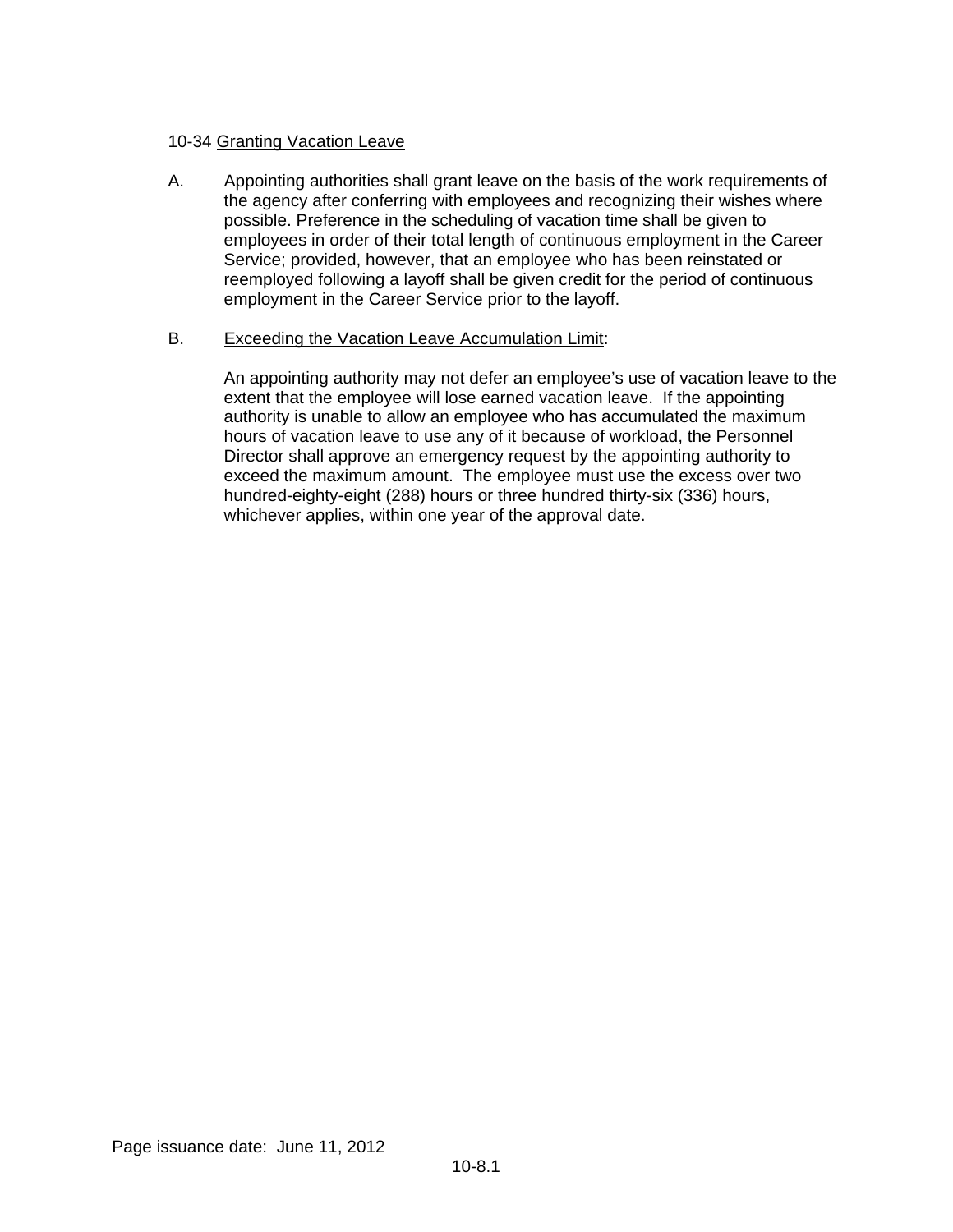# 10-34 Granting Vacation Leave

A. Appointing authorities shall grant leave on the basis of the work requirements of the agency after conferring with employees and recognizing their wishes where possible. Preference in the scheduling of vacation time shall be given to employees in order of their total length of continuous employment in the Career Service; provided, however, that an employee who has been reinstated or reemployed following a layoff shall be given credit for the period of continuous employment in the Career Service prior to the layoff.

## B. Exceeding the Vacation Leave Accumulation Limit:

An appointing authority may not defer an employee's use of vacation leave to the extent that the employee will lose earned vacation leave. If the appointing authority is unable to allow an employee who has accumulated the maximum hours of vacation leave to use any of it because of workload, the Personnel Director shall approve an emergency request by the appointing authority to exceed the maximum amount. The employee must use the excess over two hundred-eighty-eight (288) hours or three hundred thirty-six (336) hours, whichever applies, within one year of the approval date.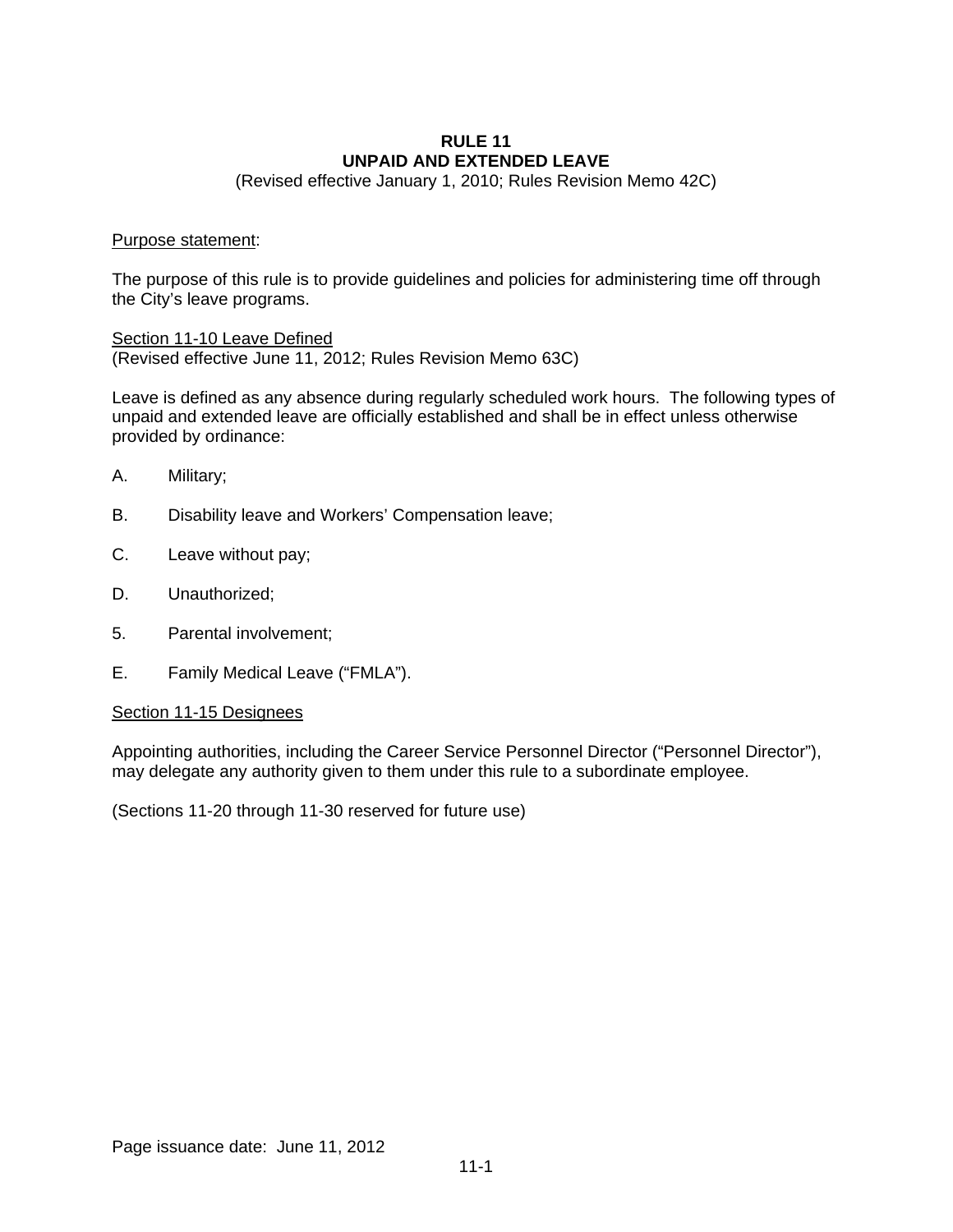### **RULE 11 UNPAID AND EXTENDED LEAVE**

(Revised effective January 1, 2010; Rules Revision Memo 42C)

### Purpose statement:

The purpose of this rule is to provide guidelines and policies for administering time off through the City's leave programs.

Section 11-10 Leave Defined (Revised effective June 11, 2012; Rules Revision Memo 63C)

Leave is defined as any absence during regularly scheduled work hours. The following types of unpaid and extended leave are officially established and shall be in effect unless otherwise provided by ordinance:

- A. Military;
- B. Disability leave and Workers' Compensation leave;
- C. Leave without pay;
- D. Unauthorized;
- 5. Parental involvement;
- E. Family Medical Leave ("FMLA").

### Section 11-15 Designees

Appointing authorities, including the Career Service Personnel Director ("Personnel Director"), may delegate any authority given to them under this rule to a subordinate employee.

(Sections 11-20 through 11-30 reserved for future use)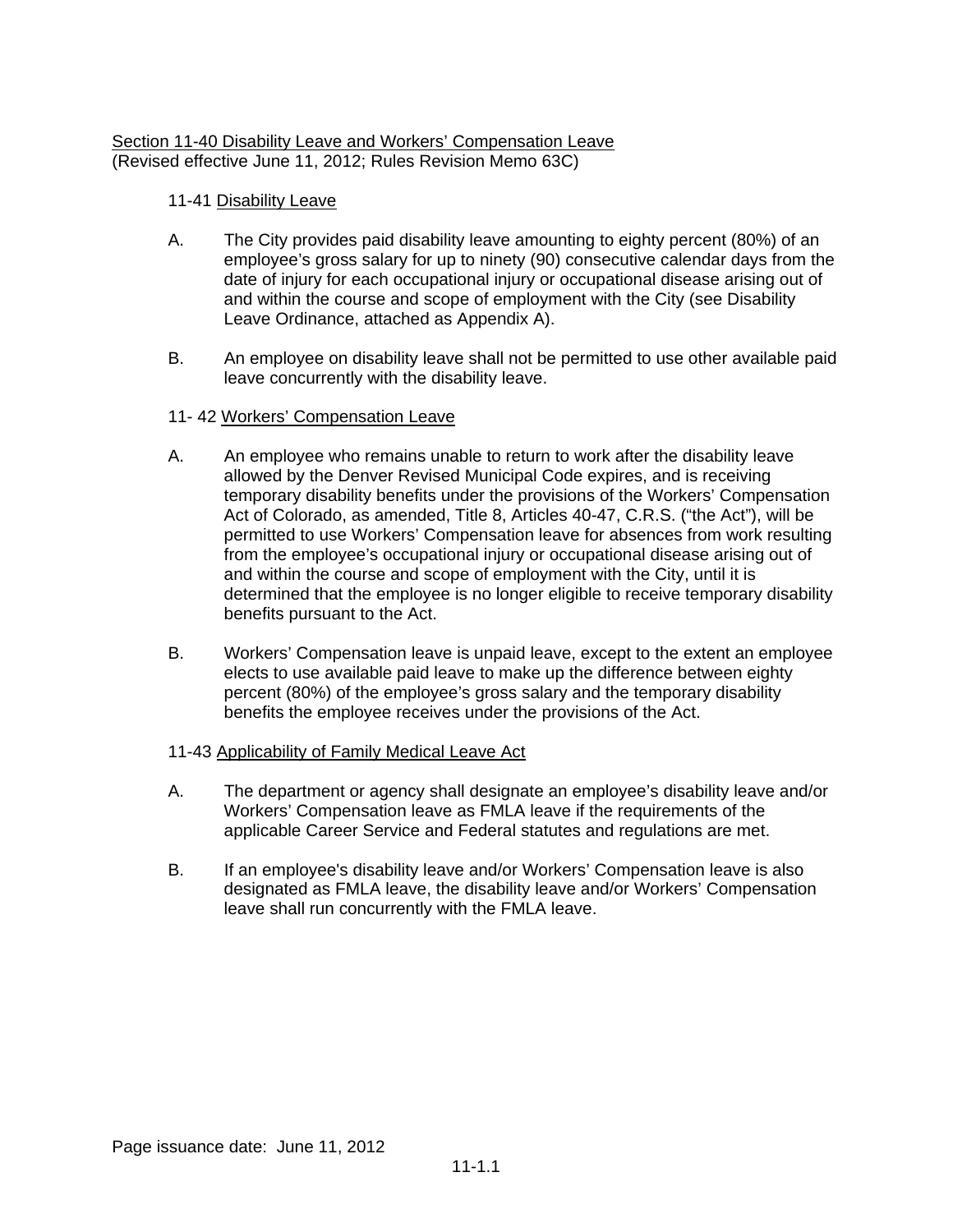## Section 11-40 Disability Leave and Workers' Compensation Leave (Revised effective June 11, 2012; Rules Revision Memo 63C)

# 11-41 Disability Leave

- A. The City provides paid disability leave amounting to eighty percent (80%) of an employee's gross salary for up to ninety (90) consecutive calendar days from the date of injury for each occupational injury or occupational disease arising out of and within the course and scope of employment with the City (see Disability Leave Ordinance, attached as Appendix A).
- B. An employee on disability leave shall not be permitted to use other available paid leave concurrently with the disability leave.

# 11- 42 Workers' Compensation Leave

- A. An employee who remains unable to return to work after the disability leave allowed by the Denver Revised Municipal Code expires, and is receiving temporary disability benefits under the provisions of the Workers' Compensation Act of Colorado, as amended, Title 8, Articles 40-47, C.R.S. ("the Act"), will be permitted to use Workers' Compensation leave for absences from work resulting from the employee's occupational injury or occupational disease arising out of and within the course and scope of employment with the City, until it is determined that the employee is no longer eligible to receive temporary disability benefits pursuant to the Act.
- B. Workers' Compensation leave is unpaid leave, except to the extent an employee elects to use available paid leave to make up the difference between eighty percent (80%) of the employee's gross salary and the temporary disability benefits the employee receives under the provisions of the Act.

## 11-43 Applicability of Family Medical Leave Act

- A. The department or agency shall designate an employee's disability leave and/or Workers' Compensation leave as FMLA leave if the requirements of the applicable Career Service and Federal statutes and regulations are met.
- B. If an employee's disability leave and/or Workers' Compensation leave is also designated as FMLA leave, the disability leave and/or Workers' Compensation leave shall run concurrently with the FMLA leave.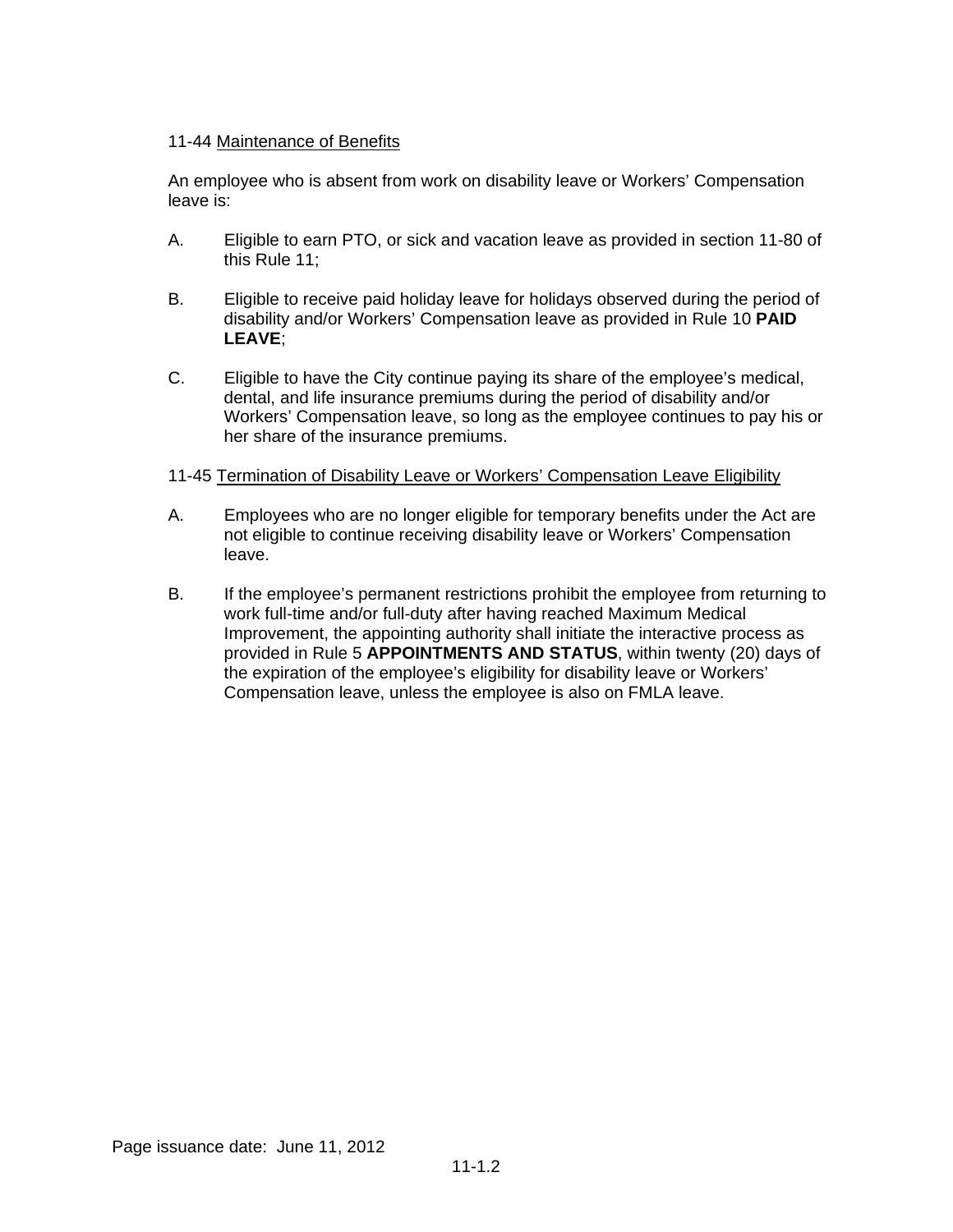## 11-44 Maintenance of Benefits

An employee who is absent from work on disability leave or Workers' Compensation leave is:

- A. Eligible to earn PTO, or sick and vacation leave as provided in section 11-80 of this Rule 11;
- B. Eligible to receive paid holiday leave for holidays observed during the period of disability and/or Workers' Compensation leave as provided in Rule 10 **PAID LEAVE**;
- C. Eligible to have the City continue paying its share of the employee's medical, dental, and life insurance premiums during the period of disability and/or Workers' Compensation leave, so long as the employee continues to pay his or her share of the insurance premiums.

### 11-45 Termination of Disability Leave or Workers' Compensation Leave Eligibility

- A. Employees who are no longer eligible for temporary benefits under the Act are not eligible to continue receiving disability leave or Workers' Compensation leave.
- B. If the employee's permanent restrictions prohibit the employee from returning to work full-time and/or full-duty after having reached Maximum Medical Improvement, the appointing authority shall initiate the interactive process as provided in Rule 5 **APPOINTMENTS AND STATUS**, within twenty (20) days of the expiration of the employee's eligibility for disability leave or Workers' Compensation leave, unless the employee is also on FMLA leave.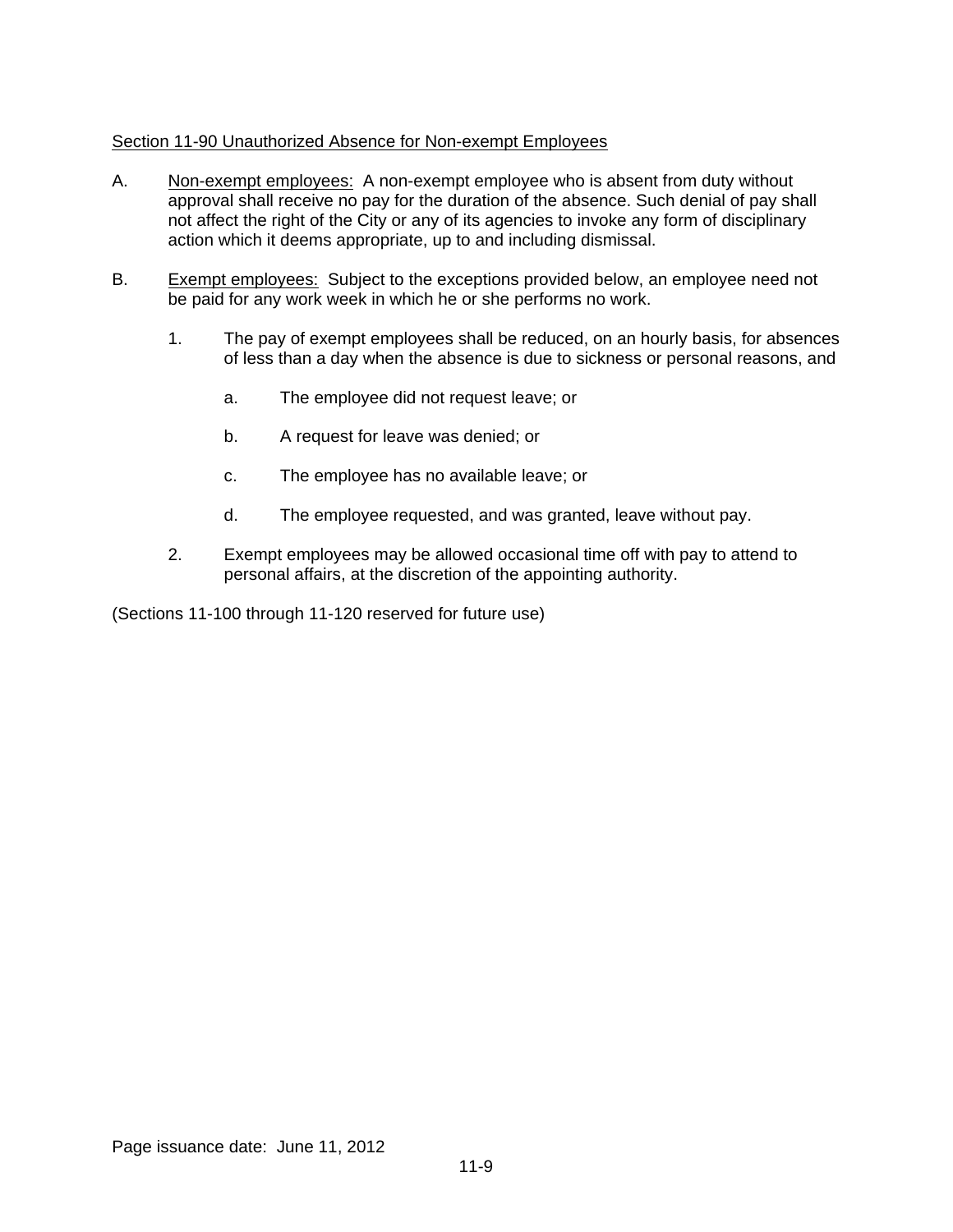## Section 11-90 Unauthorized Absence for Non-exempt Employees

- A. Non-exempt employees: A non-exempt employee who is absent from duty without approval shall receive no pay for the duration of the absence. Such denial of pay shall not affect the right of the City or any of its agencies to invoke any form of disciplinary action which it deems appropriate, up to and including dismissal.
- B. Exempt employees: Subject to the exceptions provided below, an employee need not be paid for any work week in which he or she performs no work.
	- 1. The pay of exempt employees shall be reduced, on an hourly basis, for absences of less than a day when the absence is due to sickness or personal reasons, and
		- a. The employee did not request leave; or
		- b. A request for leave was denied; or
		- c. The employee has no available leave; or
		- d. The employee requested, and was granted, leave without pay.
	- 2. Exempt employees may be allowed occasional time off with pay to attend to personal affairs, at the discretion of the appointing authority.

(Sections 11-100 through 11-120 reserved for future use)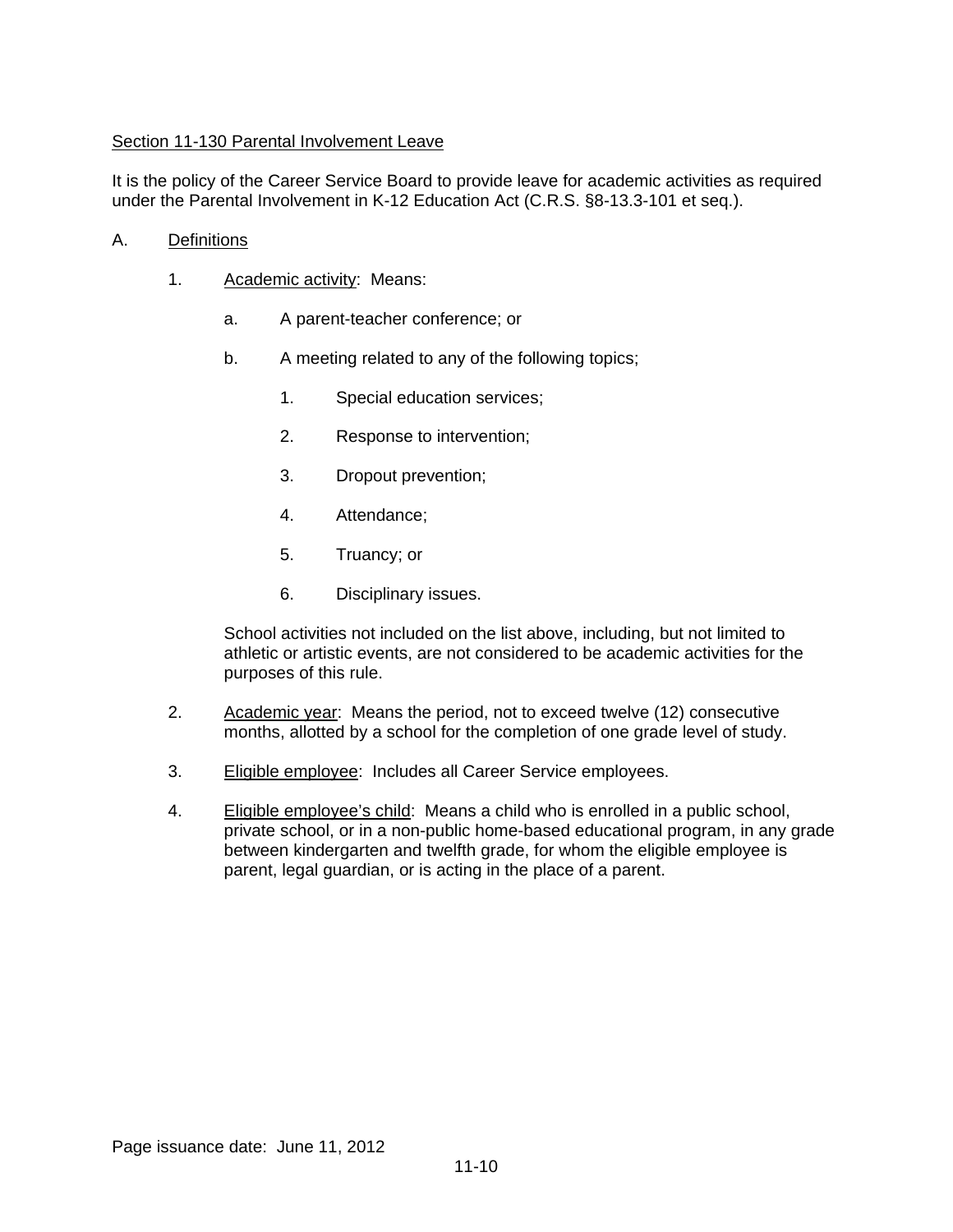# Section 11-130 Parental Involvement Leave

It is the policy of the Career Service Board to provide leave for academic activities as required under the Parental Involvement in K-12 Education Act (C.R.S. §8-13.3-101 et seq.).

- A. Definitions
	- 1. Academic activity: Means:
		- a. A parent-teacher conference; or
		- b. A meeting related to any of the following topics;
			- 1. Special education services;
			- 2. Response to intervention;
			- 3. Dropout prevention;
			- 4. Attendance;
			- 5. Truancy; or
			- 6. Disciplinary issues.

School activities not included on the list above, including, but not limited to athletic or artistic events, are not considered to be academic activities for the purposes of this rule.

- 2. Academic year: Means the period, not to exceed twelve (12) consecutive months, allotted by a school for the completion of one grade level of study.
- 3. Eligible employee: Includes all Career Service employees.
- 4. Eligible employee's child: Means a child who is enrolled in a public school, private school, or in a non-public home-based educational program, in any grade between kindergarten and twelfth grade, for whom the eligible employee is parent, legal guardian, or is acting in the place of a parent.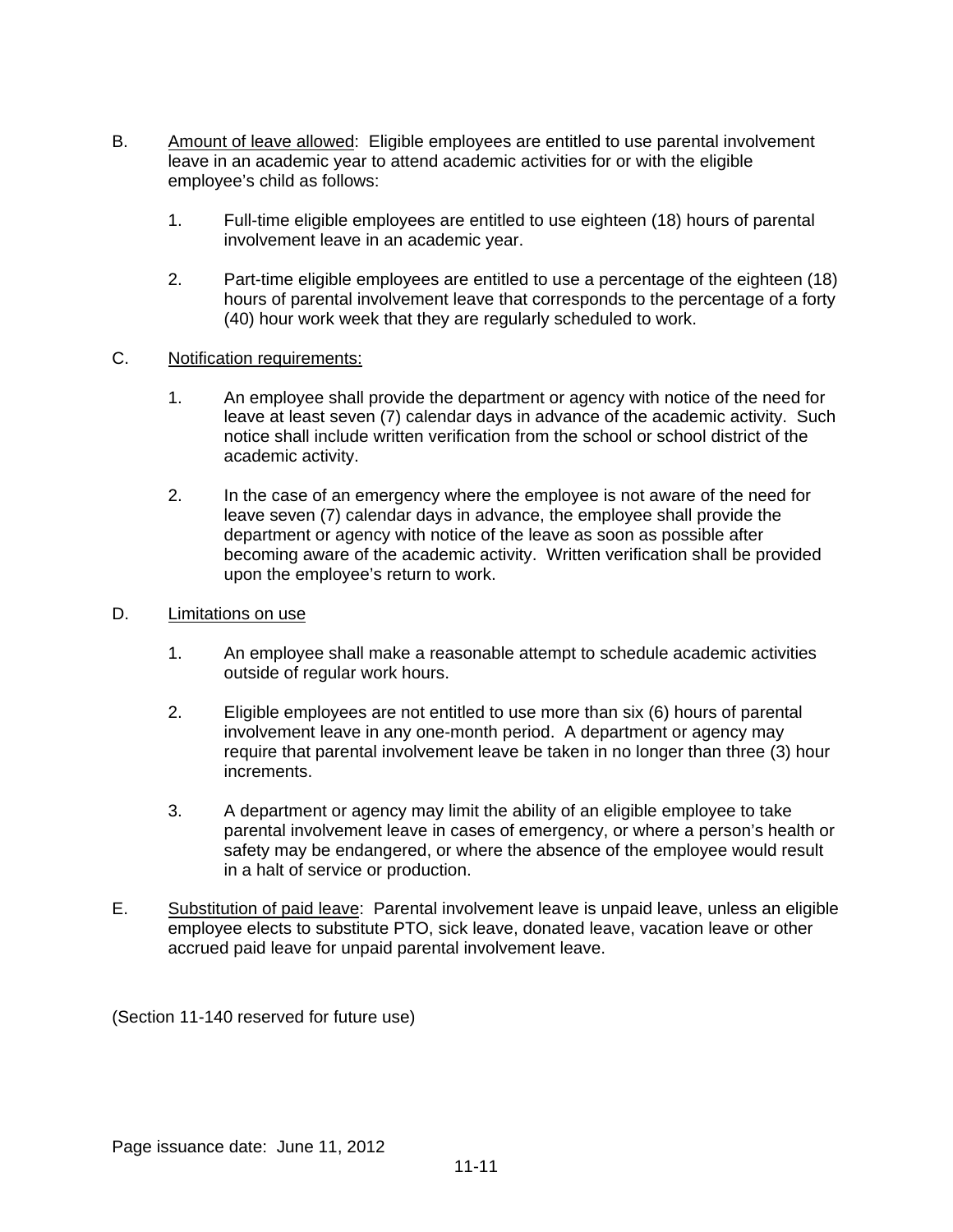- B. Amount of leave allowed: Eligible employees are entitled to use parental involvement leave in an academic year to attend academic activities for or with the eligible employee's child as follows:
	- 1. Full-time eligible employees are entitled to use eighteen (18) hours of parental involvement leave in an academic year.
	- 2. Part-time eligible employees are entitled to use a percentage of the eighteen (18) hours of parental involvement leave that corresponds to the percentage of a forty (40) hour work week that they are regularly scheduled to work.

### C. Notification requirements:

- 1. An employee shall provide the department or agency with notice of the need for leave at least seven (7) calendar days in advance of the academic activity. Such notice shall include written verification from the school or school district of the academic activity.
- 2. In the case of an emergency where the employee is not aware of the need for leave seven (7) calendar days in advance, the employee shall provide the department or agency with notice of the leave as soon as possible after becoming aware of the academic activity. Written verification shall be provided upon the employee's return to work.
- D. Limitations on use
	- 1. An employee shall make a reasonable attempt to schedule academic activities outside of regular work hours.
	- 2. Eligible employees are not entitled to use more than six (6) hours of parental involvement leave in any one-month period. A department or agency may require that parental involvement leave be taken in no longer than three (3) hour increments.
	- 3. A department or agency may limit the ability of an eligible employee to take parental involvement leave in cases of emergency, or where a person's health or safety may be endangered, or where the absence of the employee would result in a halt of service or production.
- E. Substitution of paid leave: Parental involvement leave is unpaid leave, unless an eligible employee elects to substitute PTO, sick leave, donated leave, vacation leave or other accrued paid leave for unpaid parental involvement leave.

(Section 11-140 reserved for future use)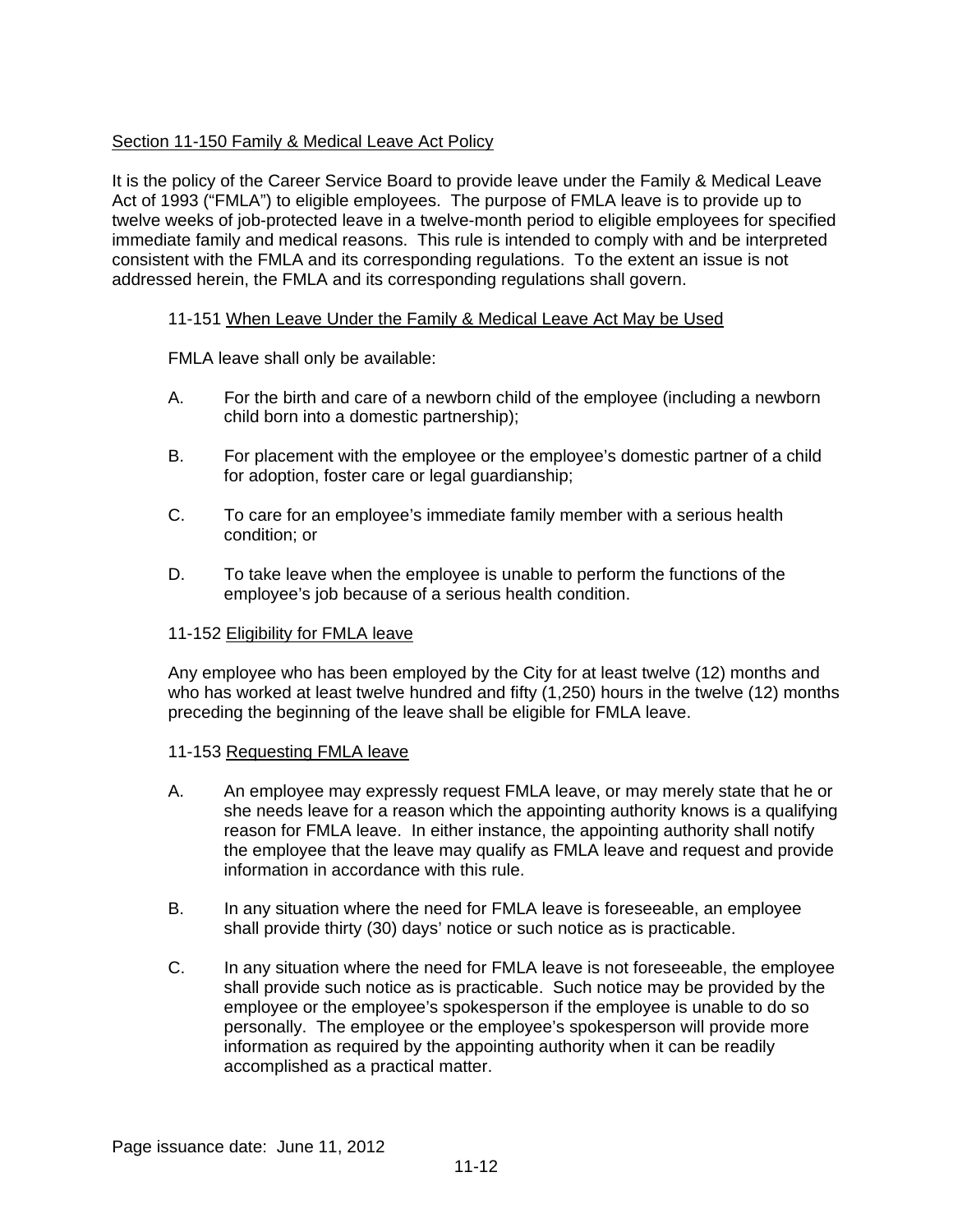# Section 11-150 Family & Medical Leave Act Policy

It is the policy of the Career Service Board to provide leave under the Family & Medical Leave Act of 1993 ("FMLA") to eligible employees. The purpose of FMLA leave is to provide up to twelve weeks of job-protected leave in a twelve-month period to eligible employees for specified immediate family and medical reasons. This rule is intended to comply with and be interpreted consistent with the FMLA and its corresponding regulations. To the extent an issue is not addressed herein, the FMLA and its corresponding regulations shall govern.

## 11-151 When Leave Under the Family & Medical Leave Act May be Used

FMLA leave shall only be available:

- A. For the birth and care of a newborn child of the employee (including a newborn child born into a domestic partnership);
- B. For placement with the employee or the employee's domestic partner of a child for adoption, foster care or legal guardianship;
- C. To care for an employee's immediate family member with a serious health condition; or
- D. To take leave when the employee is unable to perform the functions of the employee's job because of a serious health condition.

### 11-152 Eligibility for FMLA leave

Any employee who has been employed by the City for at least twelve (12) months and who has worked at least twelve hundred and fifty (1,250) hours in the twelve (12) months preceding the beginning of the leave shall be eligible for FMLA leave.

### 11-153 Requesting FMLA leave

- A. An employee may expressly request FMLA leave, or may merely state that he or she needs leave for a reason which the appointing authority knows is a qualifying reason for FMLA leave. In either instance, the appointing authority shall notify the employee that the leave may qualify as FMLA leave and request and provide information in accordance with this rule.
- B. In any situation where the need for FMLA leave is foreseeable, an employee shall provide thirty (30) days' notice or such notice as is practicable.
- C. In any situation where the need for FMLA leave is not foreseeable, the employee shall provide such notice as is practicable. Such notice may be provided by the employee or the employee's spokesperson if the employee is unable to do so personally. The employee or the employee's spokesperson will provide more information as required by the appointing authority when it can be readily accomplished as a practical matter.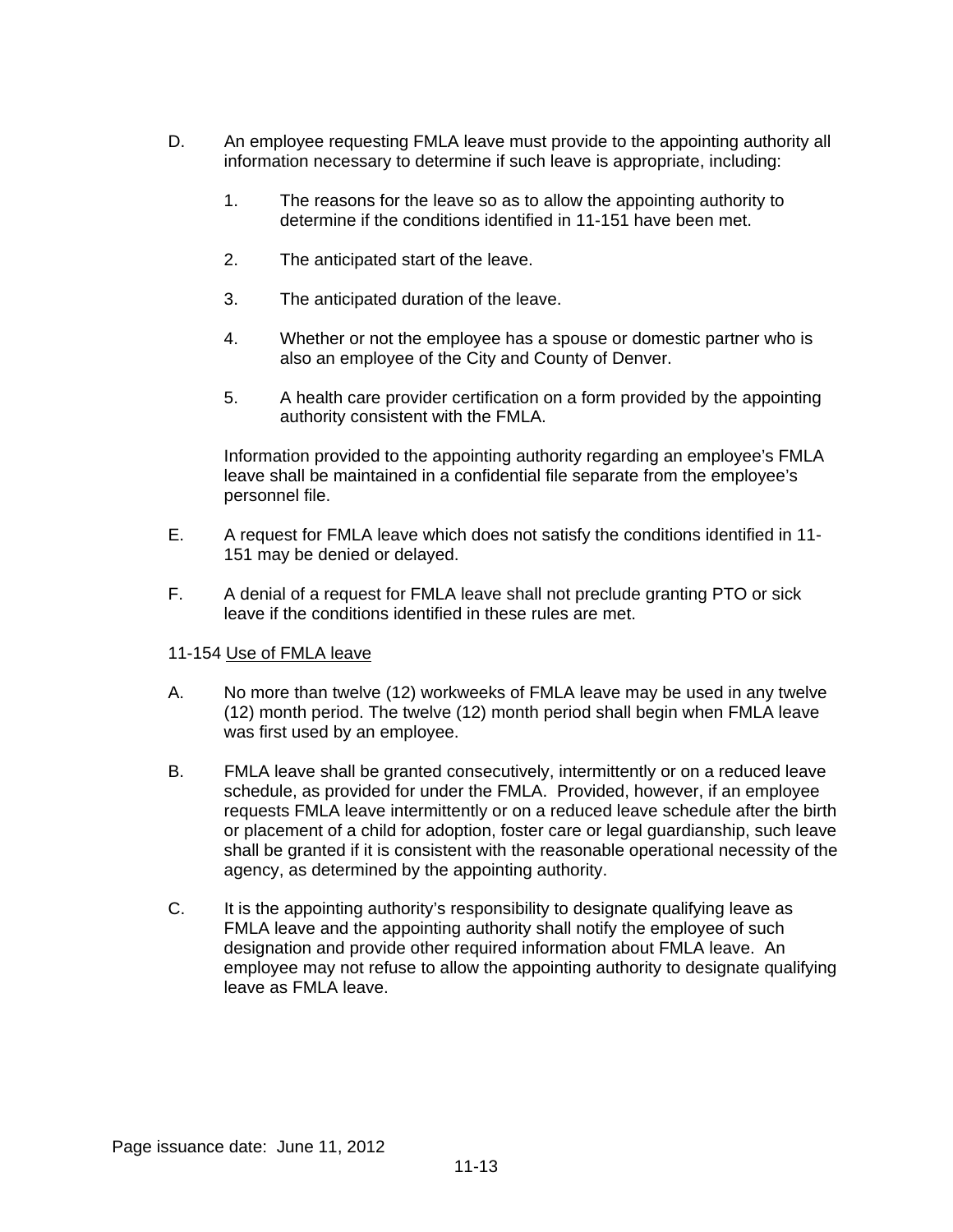- D. An employee requesting FMLA leave must provide to the appointing authority all information necessary to determine if such leave is appropriate, including:
	- 1. The reasons for the leave so as to allow the appointing authority to determine if the conditions identified in 11-151 have been met.
	- 2. The anticipated start of the leave.
	- 3. The anticipated duration of the leave.
	- 4. Whether or not the employee has a spouse or domestic partner who is also an employee of the City and County of Denver.
	- 5. A health care provider certification on a form provided by the appointing authority consistent with the FMLA.

Information provided to the appointing authority regarding an employee's FMLA leave shall be maintained in a confidential file separate from the employee's personnel file.

- E. A request for FMLA leave which does not satisfy the conditions identified in 11- 151 may be denied or delayed.
- F. A denial of a request for FMLA leave shall not preclude granting PTO or sick leave if the conditions identified in these rules are met.
- 11-154 Use of FMLA leave
- A. No more than twelve (12) workweeks of FMLA leave may be used in any twelve (12) month period. The twelve (12) month period shall begin when FMLA leave was first used by an employee.
- B. FMLA leave shall be granted consecutively, intermittently or on a reduced leave schedule, as provided for under the FMLA. Provided, however, if an employee requests FMLA leave intermittently or on a reduced leave schedule after the birth or placement of a child for adoption, foster care or legal guardianship, such leave shall be granted if it is consistent with the reasonable operational necessity of the agency, as determined by the appointing authority.
- C. It is the appointing authority's responsibility to designate qualifying leave as FMLA leave and the appointing authority shall notify the employee of such designation and provide other required information about FMLA leave.An employee may not refuse to allow the appointing authority to designate qualifying leave as FMLA leave.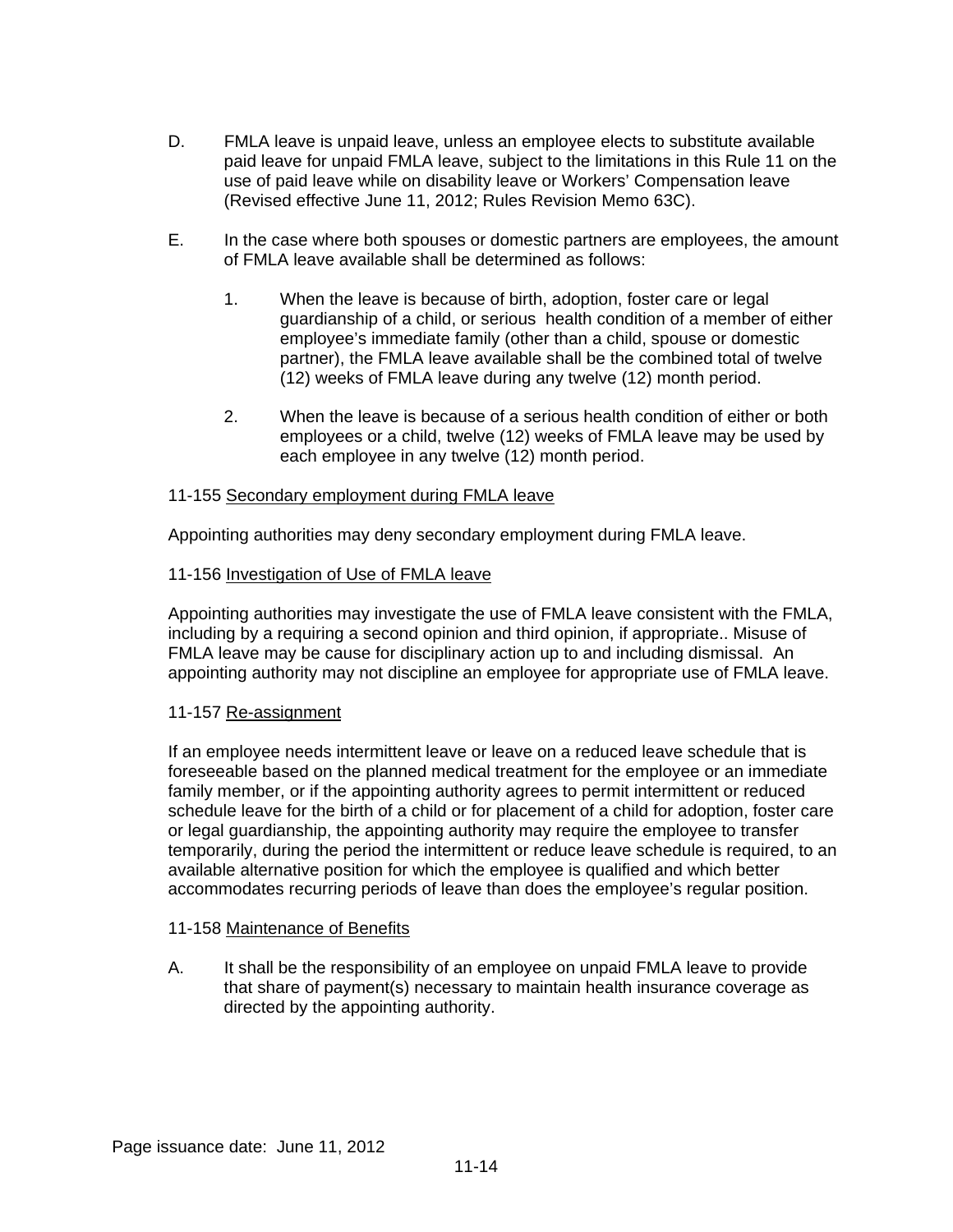- D. FMLA leave is unpaid leave, unless an employee elects to substitute available paid leave for unpaid FMLA leave, subject to the limitations in this Rule 11 on the use of paid leave while on disability leave or Workers' Compensation leave (Revised effective June 11, 2012; Rules Revision Memo 63C).
- E. In the case where both spouses or domestic partners are employees, the amount of FMLA leave available shall be determined as follows:
	- 1. When the leave is because of birth, adoption, foster care or legal guardianship of a child, or serious health condition of a member of either employee's immediate family (other than a child, spouse or domestic partner), the FMLA leave available shall be the combined total of twelve (12) weeks of FMLA leave during any twelve (12) month period.
	- 2. When the leave is because of a serious health condition of either or both employees or a child, twelve (12) weeks of FMLA leave may be used by each employee in any twelve (12) month period.

### 11-155 Secondary employment during FMLA leave

Appointing authorities may deny secondary employment during FMLA leave.

### 11-156 Investigation of Use of FMLA leave

Appointing authorities may investigate the use of FMLA leave consistent with the FMLA, including by a requiring a second opinion and third opinion, if appropriate.. Misuse of FMLA leave may be cause for disciplinary action up to and including dismissal. An appointing authority may not discipline an employee for appropriate use of FMLA leave.

### 11-157 Re-assignment

If an employee needs intermittent leave or leave on a reduced leave schedule that is foreseeable based on the planned medical treatment for the employee or an immediate family member, or if the appointing authority agrees to permit intermittent or reduced schedule leave for the birth of a child or for placement of a child for adoption, foster care or legal guardianship, the appointing authority may require the employee to transfer temporarily, during the period the intermittent or reduce leave schedule is required, to an available alternative position for which the employee is qualified and which better accommodates recurring periods of leave than does the employee's regular position.

### 11-158 Maintenance of Benefits

A. It shall be the responsibility of an employee on unpaid FMLA leave to provide that share of payment(s) necessary to maintain health insurance coverage as directed by the appointing authority.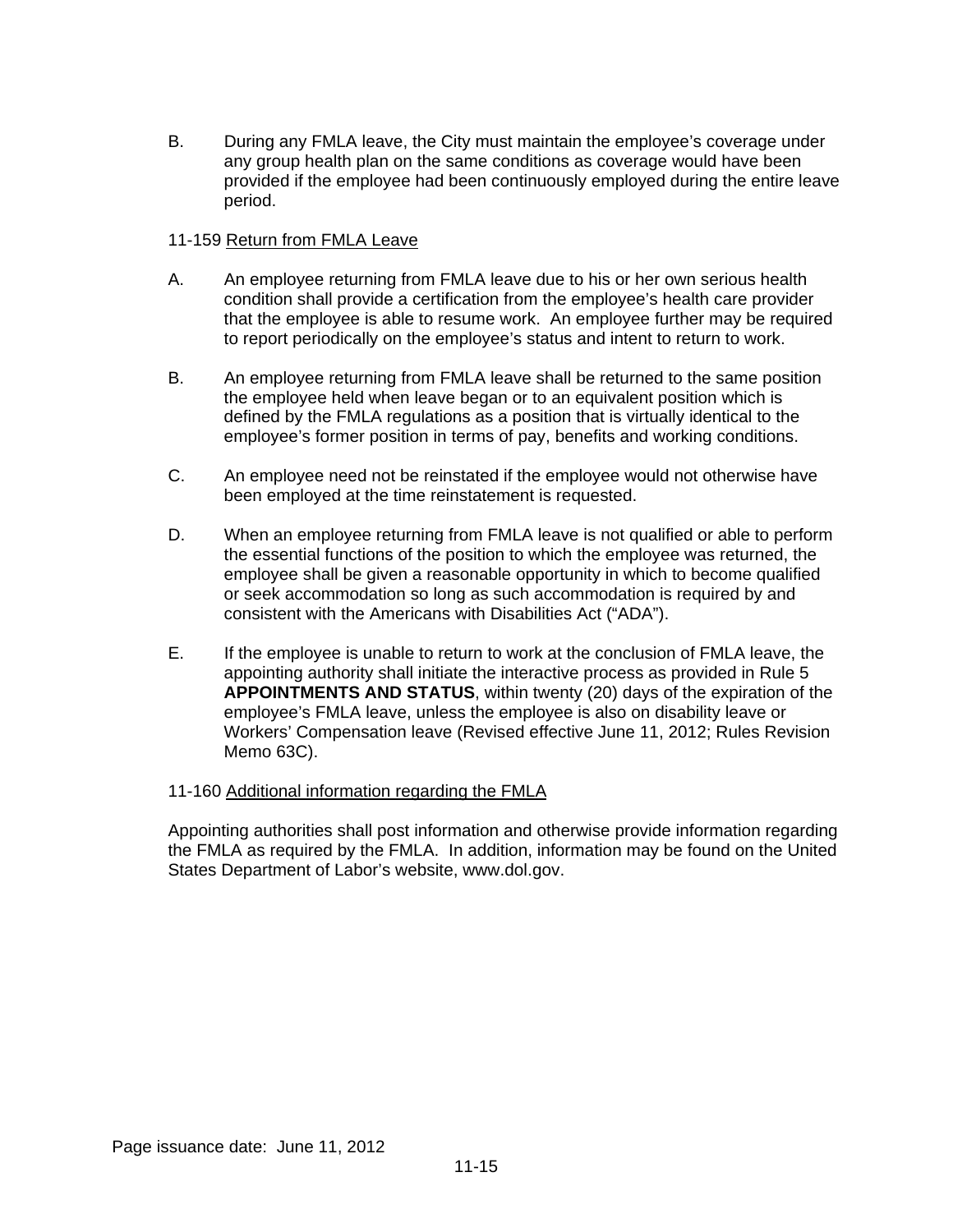B. During any FMLA leave, the City must maintain the employee's coverage under any group health plan on the same conditions as coverage would have been provided if the employee had been continuously employed during the entire leave period.

### 11-159 Return from FMLA Leave

- A. An employee returning from FMLA leave due to his or her own serious health condition shall provide a certification from the employee's health care provider that the employee is able to resume work. An employee further may be required to report periodically on the employee's status and intent to return to work.
- B. An employee returning from FMLA leave shall be returned to the same position the employee held when leave began or to an equivalent position which is defined by the FMLA regulations as a position that is virtually identical to the employee's former position in terms of pay, benefits and working conditions.
- C. An employee need not be reinstated if the employee would not otherwise have been employed at the time reinstatement is requested.
- D. When an employee returning from FMLA leave is not qualified or able to perform the essential functions of the position to which the employee was returned, the employee shall be given a reasonable opportunity in which to become qualified or seek accommodation so long as such accommodation is required by and consistent with the Americans with Disabilities Act ("ADA").
- E. If the employee is unable to return to work at the conclusion of FMLA leave, the appointing authority shall initiate the interactive process as provided in Rule 5 **APPOINTMENTS AND STATUS**, within twenty (20) days of the expiration of the employee's FMLA leave, unless the employee is also on disability leave or Workers' Compensation leave (Revised effective June 11, 2012; Rules Revision Memo 63C).

## 11-160 Additional information regarding the FMLA

Appointing authorities shall post information and otherwise provide information regarding the FMLA as required by the FMLA. In addition, information may be found on the United States Department of Labor's website, www.dol.gov.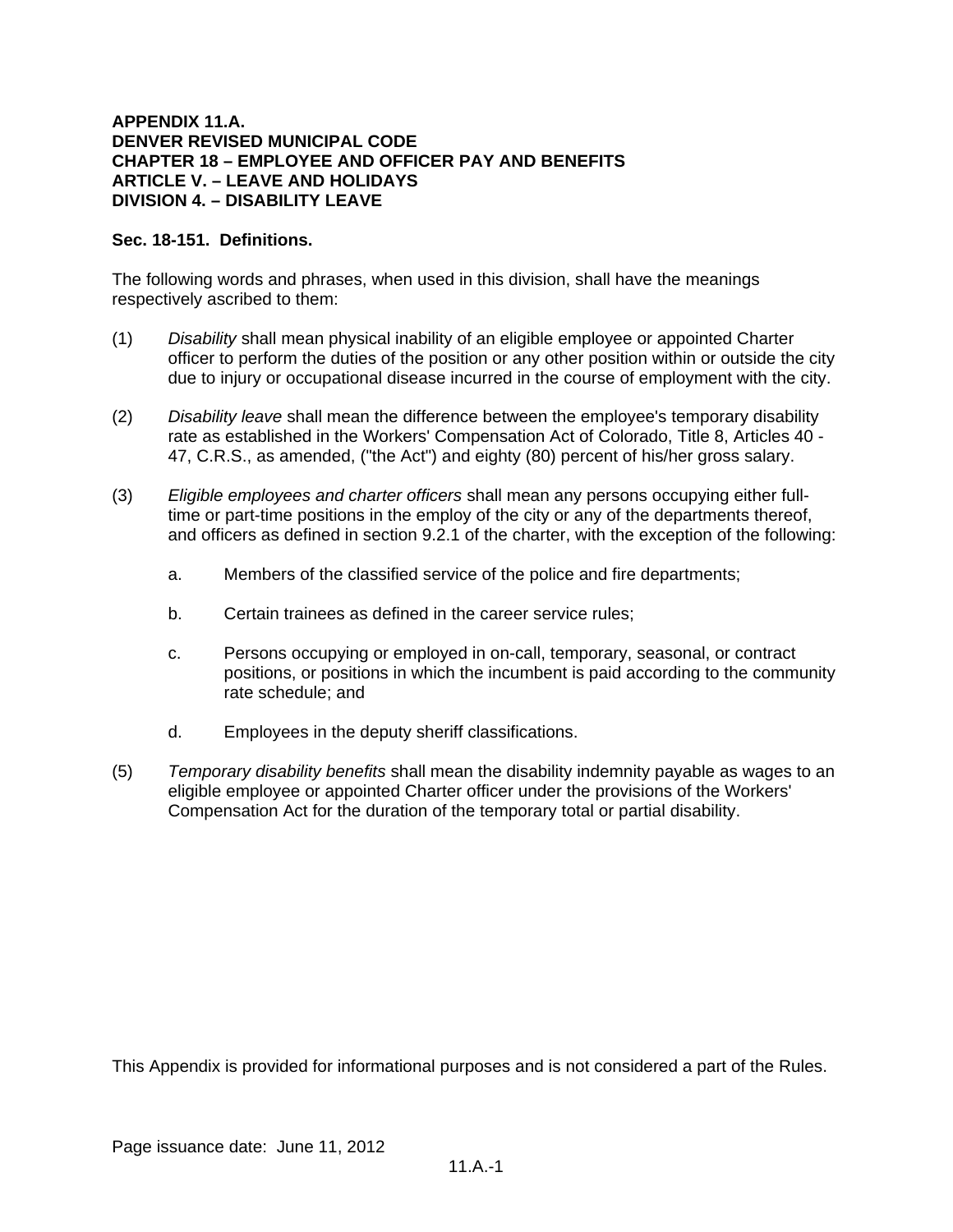### **APPENDIX 11.A. DENVER REVISED MUNICIPAL CODE CHAPTER 18 – EMPLOYEE AND OFFICER PAY AND BENEFITS ARTICLE V. – LEAVE AND HOLIDAYS DIVISION 4. – DISABILITY LEAVE**

## **Sec. 18-151. Definitions.**

The following words and phrases, when used in this division, shall have the meanings respectively ascribed to them:

- (1) *Disability* shall mean physical inability of an eligible employee or appointed Charter officer to perform the duties of the position or any other position within or outside the city due to injury or occupational disease incurred in the course of employment with the city.
- (2) *Disability leave* shall mean the difference between the employee's temporary disability rate as established in the Workers' Compensation Act of Colorado, Title 8, Articles 40 - 47, C.R.S., as amended, ("the Act") and eighty (80) percent of his/her gross salary.
- (3) *Eligible employees and charter officers* shall mean any persons occupying either fulltime or part-time positions in the employ of the city or any of the departments thereof, and officers as defined in section 9.2.1 of the charter, with the exception of the following:
	- a. Members of the classified service of the police and fire departments;
	- b. Certain trainees as defined in the career service rules;
	- c. Persons occupying or employed in on-call, temporary, seasonal, or contract positions, or positions in which the incumbent is paid according to the community rate schedule; and
	- d. Employees in the deputy sheriff classifications.
- (5) *Temporary disability benefits* shall mean the disability indemnity payable as wages to an eligible employee or appointed Charter officer under the provisions of the Workers' Compensation Act for the duration of the temporary total or partial disability.

This Appendix is provided for informational purposes and is not considered a part of the Rules.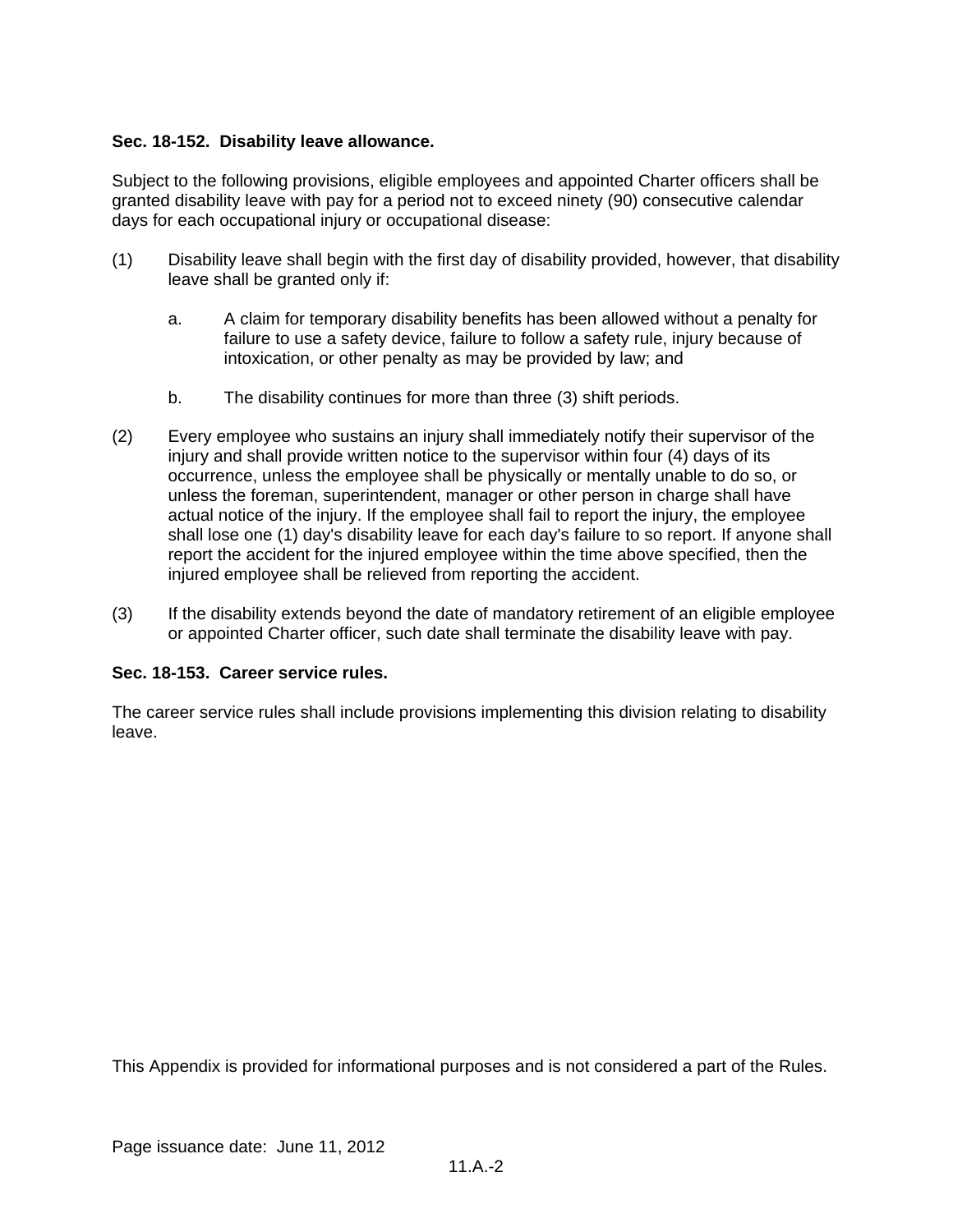## **Sec. 18-152. Disability leave allowance.**

Subject to the following provisions, eligible employees and appointed Charter officers shall be granted disability leave with pay for a period not to exceed ninety (90) consecutive calendar days for each occupational injury or occupational disease:

- (1) Disability leave shall begin with the first day of disability provided, however, that disability leave shall be granted only if:
	- a. A claim for temporary disability benefits has been allowed without a penalty for failure to use a safety device, failure to follow a safety rule, injury because of intoxication, or other penalty as may be provided by law; and
	- b. The disability continues for more than three (3) shift periods.
- (2) Every employee who sustains an injury shall immediately notify their supervisor of the injury and shall provide written notice to the supervisor within four (4) days of its occurrence, unless the employee shall be physically or mentally unable to do so, or unless the foreman, superintendent, manager or other person in charge shall have actual notice of the injury. If the employee shall fail to report the injury, the employee shall lose one (1) day's disability leave for each day's failure to so report. If anyone shall report the accident for the injured employee within the time above specified, then the injured employee shall be relieved from reporting the accident.
- (3) If the disability extends beyond the date of mandatory retirement of an eligible employee or appointed Charter officer, such date shall terminate the disability leave with pay.

## **Sec. 18-153. Career service rules.**

The career service rules shall include provisions implementing this division relating to disability leave.

This Appendix is provided for informational purposes and is not considered a part of the Rules.